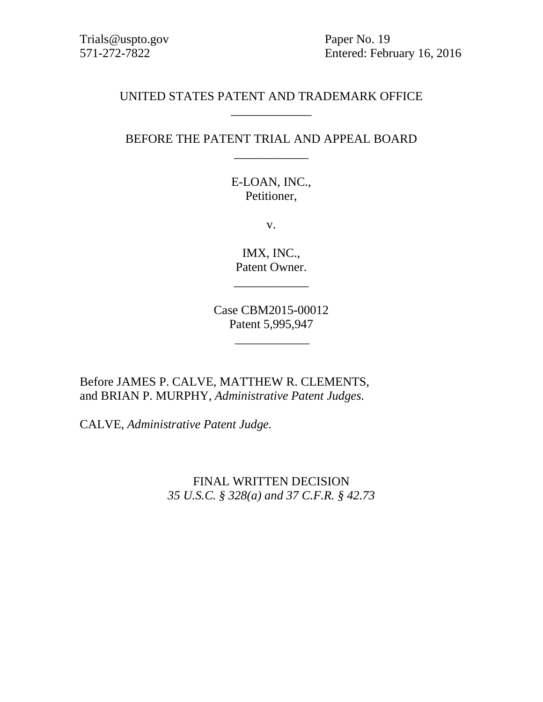Trials@uspto.gov Paper No. 19

571-272-7822 Entered: February 16, 2016

# UNITED STATES PATENT AND TRADEMARK OFFICE \_\_\_\_\_\_\_\_\_\_\_\_\_

# BEFORE THE PATENT TRIAL AND APPEAL BOARD \_\_\_\_\_\_\_\_\_\_\_\_

E-LOAN, INC., Petitioner,

v.

IMX, INC., Patent Owner.

\_\_\_\_\_\_\_\_\_\_\_\_

Case CBM2015-00012 Patent 5,995,947

\_\_\_\_\_\_\_\_\_\_\_\_

Before JAMES P. CALVE, MATTHEW R. CLEMENTS, and BRIAN P. MURPHY, *Administrative Patent Judges.*

CALVE, *Administrative Patent Judge.*

FINAL WRITTEN DECISION *35 U.S.C. § 328(a) and 37 C.F.R. § 42.73*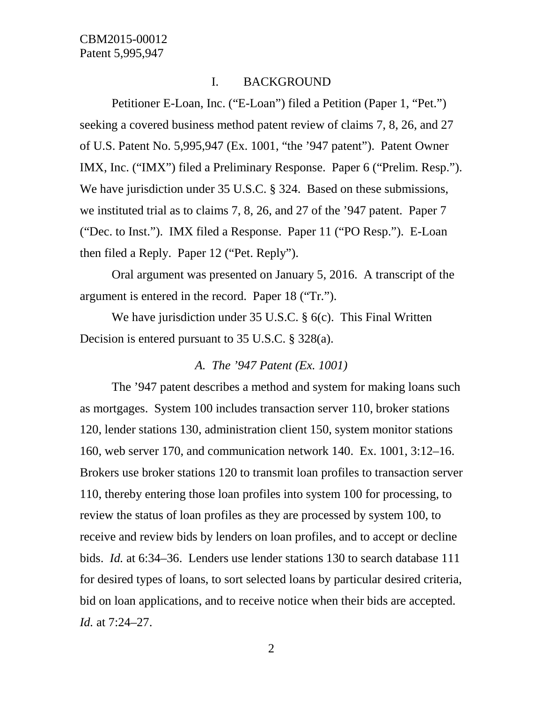#### I. BACKGROUND

Petitioner E-Loan, Inc. ("E-Loan") filed a Petition (Paper 1, "Pet.") seeking a covered business method patent review of claims 7, 8, 26, and 27 of U.S. Patent No. 5,995,947 (Ex. 1001, "the '947 patent"). Patent Owner IMX, Inc. ("IMX") filed a Preliminary Response. Paper 6 ("Prelim. Resp."). We have jurisdiction under 35 U.S.C. § 324. Based on these submissions, we instituted trial as to claims 7, 8, 26, and 27 of the '947 patent. Paper 7 ("Dec. to Inst."). IMX filed a Response. Paper 11 ("PO Resp."). E-Loan then filed a Reply. Paper 12 ("Pet. Reply").

Oral argument was presented on January 5, 2016. A transcript of the argument is entered in the record. Paper 18 ("Tr.").

We have jurisdiction under 35 U.S.C. § 6(c). This Final Written Decision is entered pursuant to 35 U.S.C. § 328(a).

#### *A. The '947 Patent (Ex. 1001)*

The '947 patent describes a method and system for making loans such as mortgages. System 100 includes transaction server 110, broker stations 120, lender stations 130, administration client 150, system monitor stations 160, web server 170, and communication network 140. Ex. 1001, 3:12–16. Brokers use broker stations 120 to transmit loan profiles to transaction server 110, thereby entering those loan profiles into system 100 for processing, to review the status of loan profiles as they are processed by system 100, to receive and review bids by lenders on loan profiles, and to accept or decline bids. *Id.* at 6:34–36. Lenders use lender stations 130 to search database 111 for desired types of loans, to sort selected loans by particular desired criteria, bid on loan applications, and to receive notice when their bids are accepted. *Id.* at 7:24–27.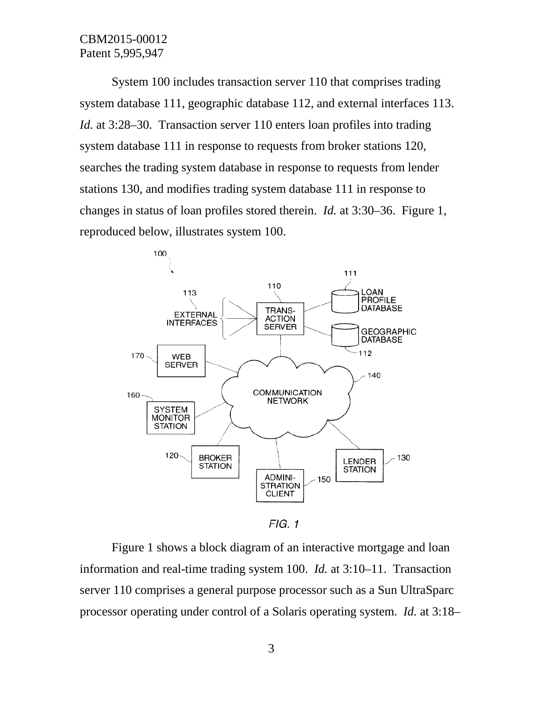System 100 includes transaction server 110 that comprises trading system database 111, geographic database 112, and external interfaces 113. *Id.* at 3:28–30. Transaction server 110 enters loan profiles into trading system database 111 in response to requests from broker stations 120, searches the trading system database in response to requests from lender stations 130, and modifies trading system database 111 in response to changes in status of loan profiles stored therein. *Id.* at 3:30–36. Figure 1, reproduced below, illustrates system 100.



 $FIG. 1$ 

Figure 1 shows a block diagram of an interactive mortgage and loan information and real-time trading system 100. *Id.* at 3:10–11. Transaction server 110 comprises a general purpose processor such as a Sun UltraSparc processor operating under control of a Solaris operating system. *Id.* at 3:18–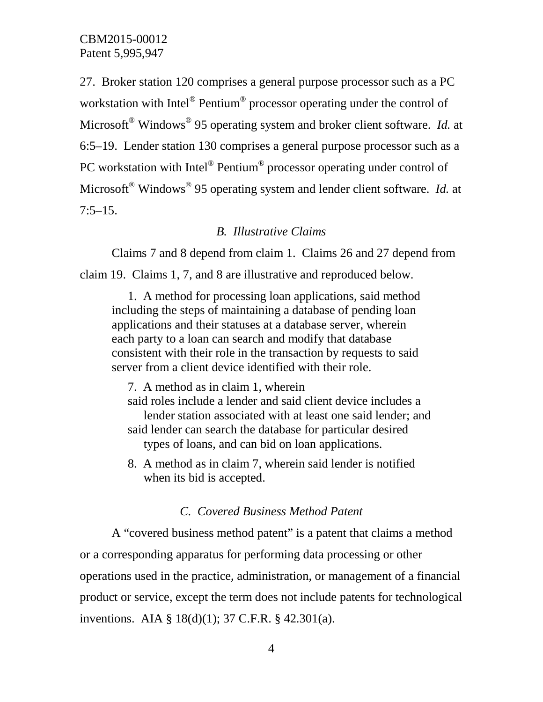27. Broker station 120 comprises a general purpose processor such as a PC workstation with Intel<sup>®</sup> Pentium<sup>®</sup> processor operating under the control of Microsoft® Windows® 95 operating system and broker client software. *Id.* at 6:5–19. Lender station 130 comprises a general purpose processor such as a PC workstation with Intel® Pentium® processor operating under control of Microsoft® Windows® 95 operating system and lender client software. *Id.* at  $7:5-15.$ 

#### *B. Illustrative Claims*

Claims 7 and 8 depend from claim 1. Claims 26 and 27 depend from claim 19. Claims 1, 7, and 8 are illustrative and reproduced below.

1. A method for processing loan applications, said method including the steps of maintaining a database of pending loan applications and their statuses at a database server, wherein each party to a loan can search and modify that database consistent with their role in the transaction by requests to said server from a client device identified with their role.

7. A method as in claim 1, wherein said roles include a lender and said client device includes a lender station associated with at least one said lender; and said lender can search the database for particular desired types of loans, and can bid on loan applications.

8. A method as in claim 7, wherein said lender is notified when its bid is accepted.

#### *C. Covered Business Method Patent*

A "covered business method patent" is a patent that claims a method or a corresponding apparatus for performing data processing or other operations used in the practice, administration, or management of a financial product or service, except the term does not include patents for technological inventions. AIA § 18(d)(1); 37 C.F.R. § 42.301(a).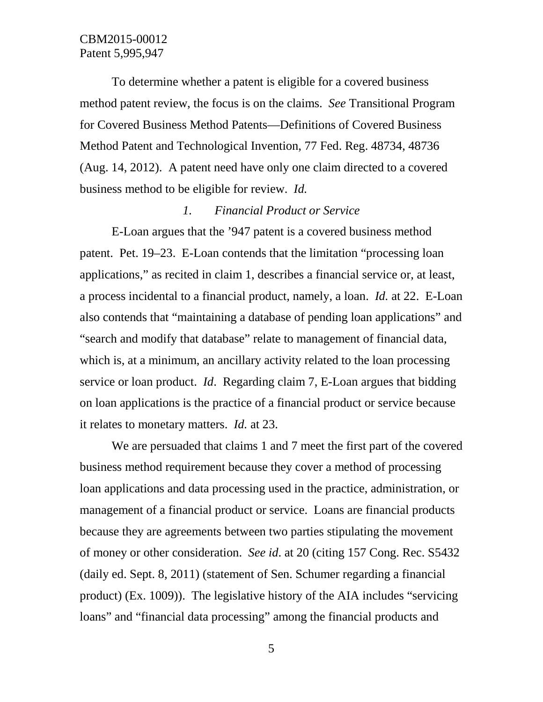To determine whether a patent is eligible for a covered business method patent review, the focus is on the claims. *See* Transitional Program for Covered Business Method Patents—Definitions of Covered Business Method Patent and Technological Invention, 77 Fed. Reg. 48734, 48736 (Aug. 14, 2012). A patent need have only one claim directed to a covered business method to be eligible for review. *Id.*

#### *1. Financial Product or Service*

E-Loan argues that the '947 patent is a covered business method patent. Pet. 19–23. E-Loan contends that the limitation "processing loan applications," as recited in claim 1, describes a financial service or, at least, a process incidental to a financial product, namely, a loan. *Id.* at 22. E-Loan also contends that "maintaining a database of pending loan applications" and "search and modify that database" relate to management of financial data, which is, at a minimum, an ancillary activity related to the loan processing service or loan product. *Id*. Regarding claim 7, E-Loan argues that bidding on loan applications is the practice of a financial product or service because it relates to monetary matters. *Id.* at 23.

We are persuaded that claims 1 and 7 meet the first part of the covered business method requirement because they cover a method of processing loan applications and data processing used in the practice, administration, or management of a financial product or service. Loans are financial products because they are agreements between two parties stipulating the movement of money or other consideration. *See id*. at 20 (citing 157 Cong. Rec. S5432 (daily ed. Sept. 8, 2011) (statement of Sen. Schumer regarding a financial product) (Ex. 1009)). The legislative history of the AIA includes "servicing loans" and "financial data processing" among the financial products and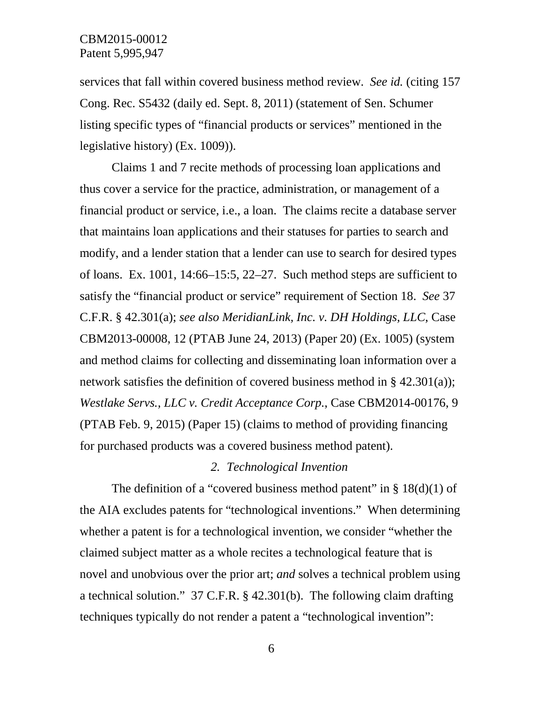services that fall within covered business method review. *See id.* (citing 157 Cong. Rec. S5432 (daily ed. Sept. 8, 2011) (statement of Sen. Schumer listing specific types of "financial products or services" mentioned in the legislative history) (Ex. 1009)).

Claims 1 and 7 recite methods of processing loan applications and thus cover a service for the practice, administration, or management of a financial product or service, i.e., a loan. The claims recite a database server that maintains loan applications and their statuses for parties to search and modify, and a lender station that a lender can use to search for desired types of loans. Ex. 1001, 14:66–15:5, 22–27. Such method steps are sufficient to satisfy the "financial product or service" requirement of Section 18. *See* 37 C.F.R. § 42.301(a); *see also MeridianLink, Inc. v. DH Holdings, LLC*, Case CBM2013-00008, 12 (PTAB June 24, 2013) (Paper 20) (Ex. 1005) (system and method claims for collecting and disseminating loan information over a network satisfies the definition of covered business method in § 42.301(a)); *Westlake Servs., LLC v. Credit Acceptance Corp.*, Case CBM2014-00176, 9 (PTAB Feb. 9, 2015) (Paper 15) (claims to method of providing financing for purchased products was a covered business method patent).

#### *2. Technological Invention*

The definition of a "covered business method patent" in  $\S$  18(d)(1) of the AIA excludes patents for "technological inventions." When determining whether a patent is for a technological invention, we consider "whether the claimed subject matter as a whole recites a technological feature that is novel and unobvious over the prior art; *and* solves a technical problem using a technical solution." 37 C.F.R. § 42.301(b). The following claim drafting techniques typically do not render a patent a "technological invention":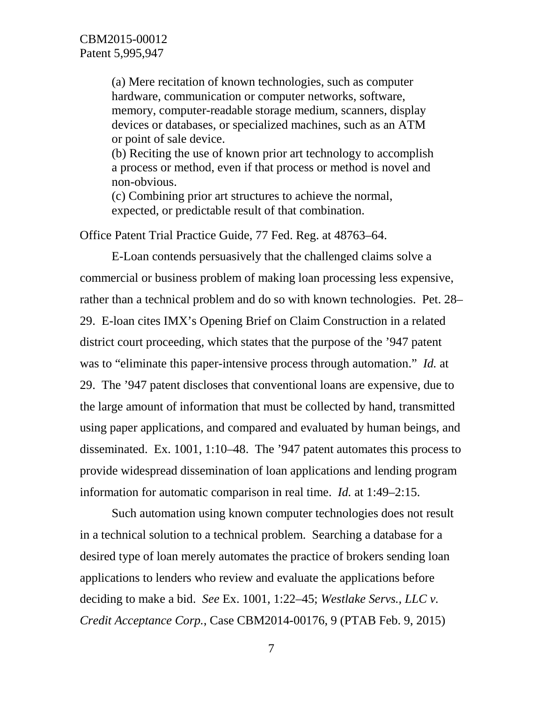(a) Mere recitation of known technologies, such as computer hardware, communication or computer networks, software, memory, computer-readable storage medium, scanners, display devices or databases, or specialized machines, such as an ATM or point of sale device.

(b) Reciting the use of known prior art technology to accomplish a process or method, even if that process or method is novel and non-obvious.

(c) Combining prior art structures to achieve the normal, expected, or predictable result of that combination.

Office Patent Trial Practice Guide, 77 Fed. Reg. at 48763–64.

E-Loan contends persuasively that the challenged claims solve a commercial or business problem of making loan processing less expensive, rather than a technical problem and do so with known technologies. Pet. 28– 29. E-loan cites IMX's Opening Brief on Claim Construction in a related district court proceeding, which states that the purpose of the '947 patent was to "eliminate this paper-intensive process through automation." *Id.* at 29. The '947 patent discloses that conventional loans are expensive, due to the large amount of information that must be collected by hand, transmitted using paper applications, and compared and evaluated by human beings, and disseminated. Ex. 1001, 1:10–48. The '947 patent automates this process to provide widespread dissemination of loan applications and lending program information for automatic comparison in real time. *Id.* at 1:49–2:15.

Such automation using known computer technologies does not result in a technical solution to a technical problem. Searching a database for a desired type of loan merely automates the practice of brokers sending loan applications to lenders who review and evaluate the applications before deciding to make a bid. *See* Ex. 1001, 1:22–45; *Westlake Servs., LLC v. Credit Acceptance Corp.*, Case CBM2014-00176, 9 (PTAB Feb. 9, 2015)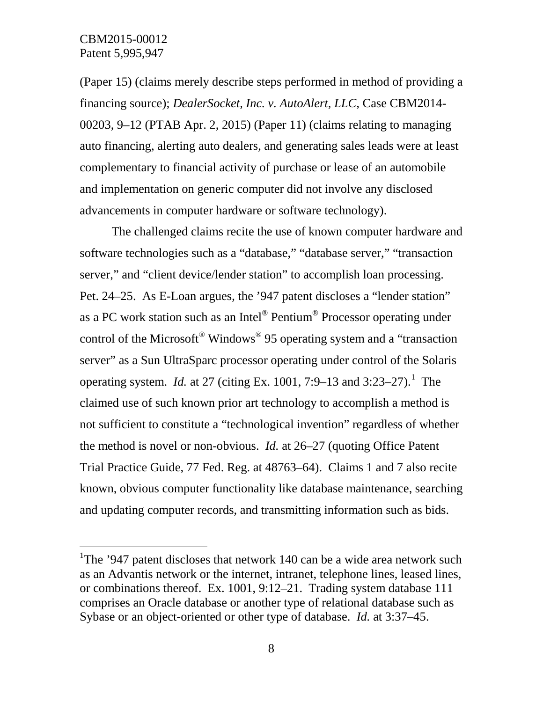(Paper 15) (claims merely describe steps performed in method of providing a financing source); *DealerSocket, Inc. v. AutoAlert, LLC*, Case CBM2014- 00203, 9–12 (PTAB Apr. 2, 2015) (Paper 11) (claims relating to managing auto financing, alerting auto dealers, and generating sales leads were at least complementary to financial activity of purchase or lease of an automobile and implementation on generic computer did not involve any disclosed advancements in computer hardware or software technology).

The challenged claims recite the use of known computer hardware and software technologies such as a "database," "database server," "transaction server," and "client device/lender station" to accomplish loan processing. Pet. 24–25. As E-Loan argues, the '947 patent discloses a "lender station" as a PC work station such as an Intel® Pentium® Processor operating under control of the Microsoft® Windows® 95 operating system and a "transaction server" as a Sun UltraSparc processor operating under control of the Solaris operating system. *Id.* at 27 (citing Ex. [1](#page-7-0)001, 7:9–13 and 3:23–27).<sup>1</sup> The claimed use of such known prior art technology to accomplish a method is not sufficient to constitute a "technological invention" regardless of whether the method is novel or non-obvious. *Id.* at 26–27 (quoting Office Patent Trial Practice Guide, 77 Fed. Reg. at 48763–64). Claims 1 and 7 also recite known, obvious computer functionality like database maintenance, searching and updating computer records, and transmitting information such as bids.

<span id="page-7-0"></span><sup>&</sup>lt;sup>1</sup>The '947 patent discloses that network 140 can be a wide area network such as an Advantis network or the internet, intranet, telephone lines, leased lines, or combinations thereof. Ex. 1001, 9:12–21. Trading system database 111 comprises an Oracle database or another type of relational database such as Sybase or an object-oriented or other type of database. *Id.* at 3:37–45.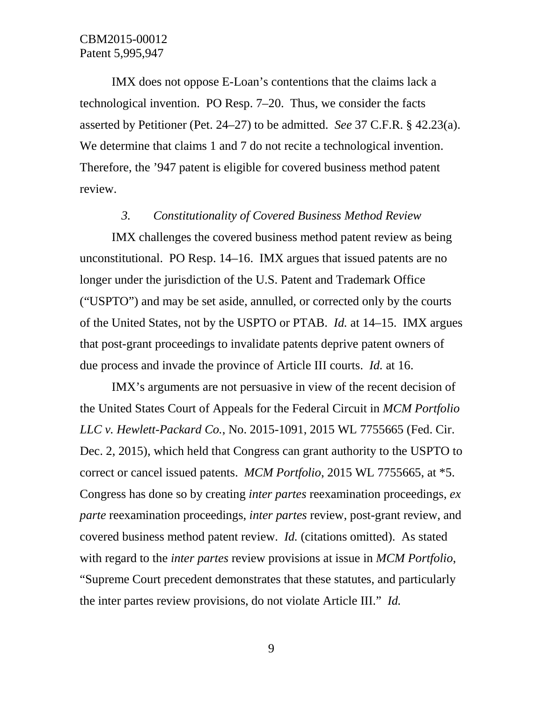IMX does not oppose E-Loan's contentions that the claims lack a technological invention. PO Resp. 7–20. Thus, we consider the facts asserted by Petitioner (Pet. 24–27) to be admitted. *See* 37 C.F.R. § 42.23(a). We determine that claims 1 and 7 do not recite a technological invention. Therefore, the '947 patent is eligible for covered business method patent review.

#### *3. Constitutionality of Covered Business Method Review*

IMX challenges the covered business method patent review as being unconstitutional. PO Resp. 14–16. IMX argues that issued patents are no longer under the jurisdiction of the U.S. Patent and Trademark Office ("USPTO") and may be set aside, annulled, or corrected only by the courts of the United States, not by the USPTO or PTAB. *Id.* at 14–15. IMX argues that post-grant proceedings to invalidate patents deprive patent owners of due process and invade the province of Article III courts. *Id.* at 16.

IMX's arguments are not persuasive in view of the recent decision of the United States Court of Appeals for the Federal Circuit in *MCM Portfolio LLC v. Hewlett-Packard Co.*, No. 2015-1091, 2015 WL 7755665 (Fed. Cir. Dec. 2, 2015), which held that Congress can grant authority to the USPTO to correct or cancel issued patents. *MCM Portfolio*, 2015 WL 7755665, at \*5. Congress has done so by creating *inter partes* reexamination proceedings, *ex parte* reexamination proceedings, *inter partes* review, post-grant review, and covered business method patent review. *Id.* (citations omitted). As stated with regard to the *inter partes* review provisions at issue in *MCM Portfolio*, "Supreme Court precedent demonstrates that these statutes, and particularly the inter partes review provisions, do not violate Article III." *Id.*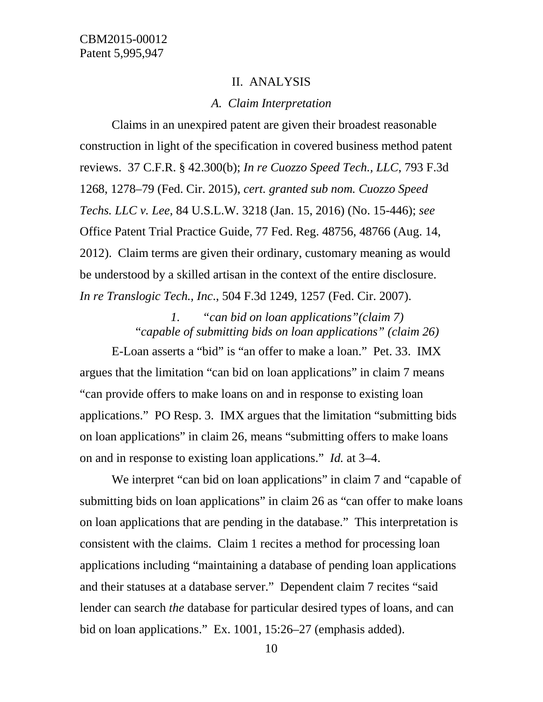#### II. ANALYSIS

#### *A. Claim Interpretation*

Claims in an unexpired patent are given their broadest reasonable construction in light of the specification in covered business method patent reviews. 37 C.F.R. § 42.300(b); *In re Cuozzo Speed Tech., LLC*, 793 F.3d 1268, 1278–79 (Fed. Cir. 2015), *cert. granted sub nom. Cuozzo Speed Techs. LLC v. Lee*, 84 U.S.L.W. 3218 (Jan. 15, 2016) (No. 15-446); *see*  Office Patent Trial Practice Guide, 77 Fed. Reg. 48756, 48766 (Aug. 14, 2012). Claim terms are given their ordinary, customary meaning as would be understood by a skilled artisan in the context of the entire disclosure. *In re Translogic Tech., Inc*., 504 F.3d 1249, 1257 (Fed. Cir. 2007).

> *1. "can bid on loan applications"(claim 7)* "*capable of submitting bids on loan applications" (claim 26)*

E-Loan asserts a "bid" is "an offer to make a loan." Pet. 33. IMX argues that the limitation "can bid on loan applications" in claim 7 means "can provide offers to make loans on and in response to existing loan applications." PO Resp. 3. IMX argues that the limitation "submitting bids on loan applications" in claim 26, means "submitting offers to make loans on and in response to existing loan applications." *Id.* at 3–4.

We interpret "can bid on loan applications" in claim 7 and "capable of submitting bids on loan applications" in claim 26 as "can offer to make loans" on loan applications that are pending in the database." This interpretation is consistent with the claims. Claim 1 recites a method for processing loan applications including "maintaining a database of pending loan applications and their statuses at a database server." Dependent claim 7 recites "said lender can search *the* database for particular desired types of loans, and can bid on loan applications." Ex. 1001, 15:26–27 (emphasis added).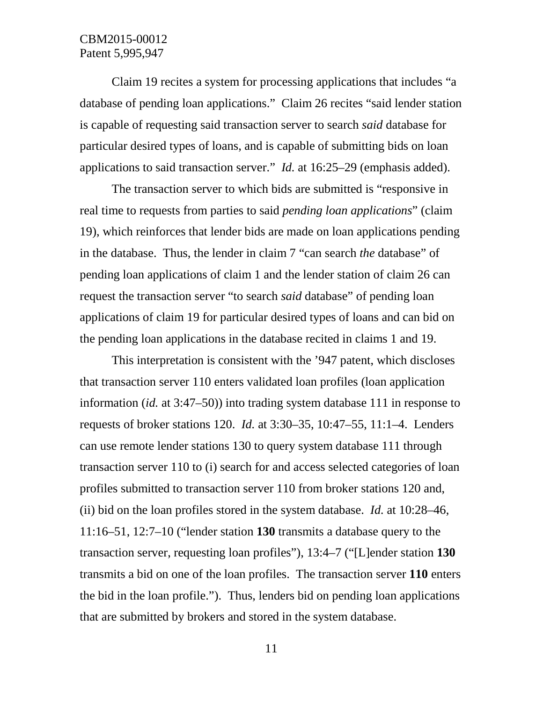Claim 19 recites a system for processing applications that includes "a database of pending loan applications." Claim 26 recites "said lender station is capable of requesting said transaction server to search *said* database for particular desired types of loans, and is capable of submitting bids on loan applications to said transaction server." *Id.* at 16:25–29 (emphasis added).

The transaction server to which bids are submitted is "responsive in real time to requests from parties to said *pending loan applications*" (claim 19), which reinforces that lender bids are made on loan applications pending in the database. Thus, the lender in claim 7 "can search *the* database" of pending loan applications of claim 1 and the lender station of claim 26 can request the transaction server "to search *said* database" of pending loan applications of claim 19 for particular desired types of loans and can bid on the pending loan applications in the database recited in claims 1 and 19.

This interpretation is consistent with the '947 patent, which discloses that transaction server 110 enters validated loan profiles (loan application information (*id.* at 3:47–50)) into trading system database 111 in response to requests of broker stations 120. *Id.* at 3:30–35, 10:47–55, 11:1–4. Lenders can use remote lender stations 130 to query system database 111 through transaction server 110 to (i) search for and access selected categories of loan profiles submitted to transaction server 110 from broker stations 120 and, (ii) bid on the loan profiles stored in the system database. *Id.* at 10:28–46, 11:16–51, 12:7–10 ("lender station **130** transmits a database query to the transaction server, requesting loan profiles"), 13:4–7 ("[L]ender station **130** transmits a bid on one of the loan profiles. The transaction server **110** enters the bid in the loan profile."). Thus, lenders bid on pending loan applications that are submitted by brokers and stored in the system database.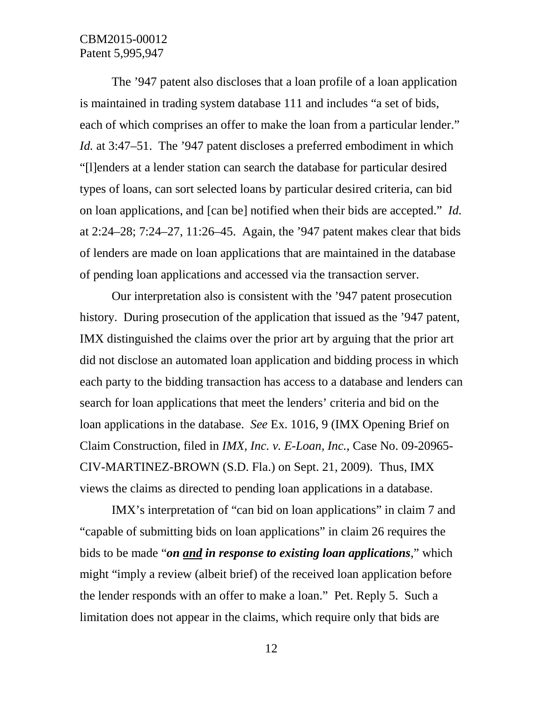The '947 patent also discloses that a loan profile of a loan application is maintained in trading system database 111 and includes "a set of bids, each of which comprises an offer to make the loan from a particular lender." *Id.* at 3:47–51. The '947 patent discloses a preferred embodiment in which "[l]enders at a lender station can search the database for particular desired types of loans, can sort selected loans by particular desired criteria, can bid on loan applications, and [can be] notified when their bids are accepted." *Id.*  at 2:24–28; 7:24–27, 11:26–45. Again, the '947 patent makes clear that bids of lenders are made on loan applications that are maintained in the database of pending loan applications and accessed via the transaction server.

Our interpretation also is consistent with the '947 patent prosecution history. During prosecution of the application that issued as the '947 patent, IMX distinguished the claims over the prior art by arguing that the prior art did not disclose an automated loan application and bidding process in which each party to the bidding transaction has access to a database and lenders can search for loan applications that meet the lenders' criteria and bid on the loan applications in the database. *See* Ex. 1016, 9 (IMX Opening Brief on Claim Construction, filed in *IMX, Inc. v. E-Loan, Inc.*, Case No. 09-20965- CIV-MARTINEZ-BROWN (S.D. Fla.) on Sept. 21, 2009). Thus, IMX views the claims as directed to pending loan applications in a database.

IMX's interpretation of "can bid on loan applications" in claim 7 and "capable of submitting bids on loan applications" in claim 26 requires the bids to be made "*on and in response to existing loan applications*," which might "imply a review (albeit brief) of the received loan application before the lender responds with an offer to make a loan." Pet. Reply 5. Such a limitation does not appear in the claims, which require only that bids are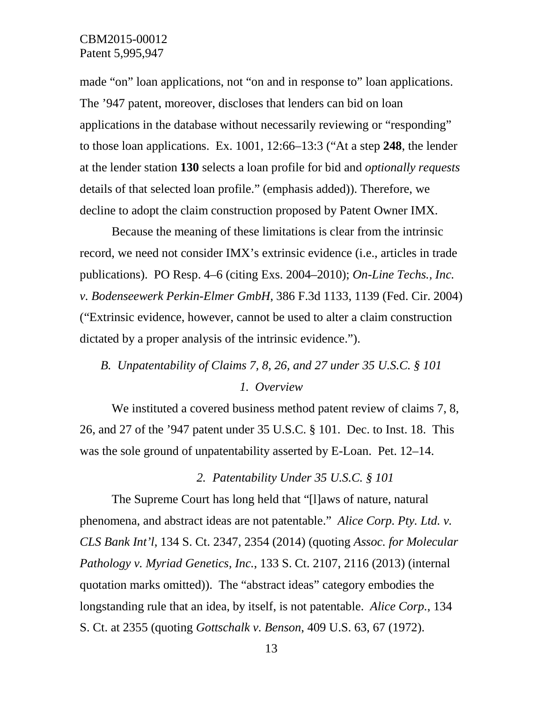made "on" loan applications, not "on and in response to" loan applications. The '947 patent, moreover, discloses that lenders can bid on loan applications in the database without necessarily reviewing or "responding" to those loan applications. Ex. 1001, 12:66–13:3 ("At a step **248**, the lender at the lender station **130** selects a loan profile for bid and *optionally requests* details of that selected loan profile." (emphasis added)). Therefore, we decline to adopt the claim construction proposed by Patent Owner IMX.

Because the meaning of these limitations is clear from the intrinsic record, we need not consider IMX's extrinsic evidence (i.e., articles in trade publications). PO Resp. 4–6 (citing Exs. 2004–2010); *On-Line Techs., Inc. v. Bodenseewerk Perkin-Elmer GmbH*, 386 F.3d 1133, 1139 (Fed. Cir. 2004) ("Extrinsic evidence, however, cannot be used to alter a claim construction dictated by a proper analysis of the intrinsic evidence.").

# *B. Unpatentability of Claims 7, 8, 26, and 27 under 35 U.S.C. § 101 1. Overview*

We instituted a covered business method patent review of claims 7, 8, 26, and 27 of the '947 patent under 35 U.S.C. § 101. Dec. to Inst. 18. This was the sole ground of unpatentability asserted by E-Loan. Pet. 12–14.

*2. Patentability Under 35 U.S.C. § 101*

The Supreme Court has long held that "[l]aws of nature, natural phenomena, and abstract ideas are not patentable." *Alice Corp. Pty. Ltd. v. CLS Bank Int'l*, 134 S. Ct. 2347, 2354 (2014) (quoting *Assoc. for Molecular Pathology v. Myriad Genetics, Inc.*, 133 S. Ct. 2107, 2116 (2013) (internal quotation marks omitted)). The "abstract ideas" category embodies the longstanding rule that an idea, by itself, is not patentable. *Alice Corp.*, 134 S. Ct. at 2355 (quoting *Gottschalk v. Benson*, 409 U.S. 63, 67 (1972).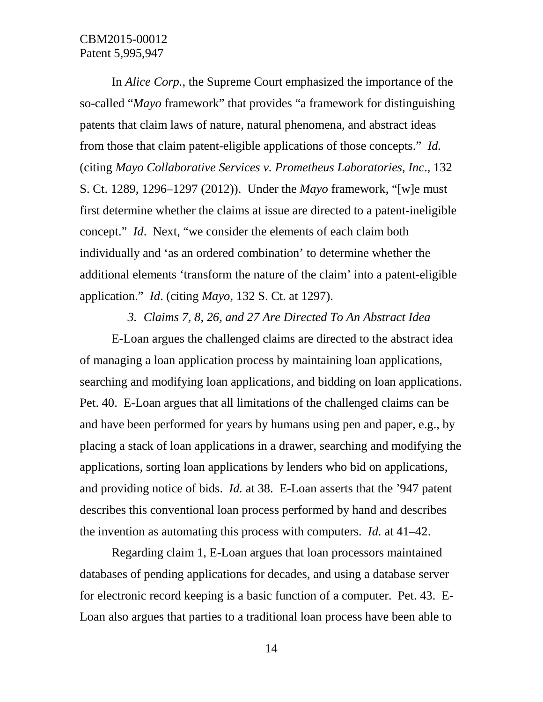In *Alice Corp.*, the Supreme Court emphasized the importance of the so-called "*Mayo* framework" that provides "a framework for distinguishing patents that claim laws of nature, natural phenomena, and abstract ideas from those that claim patent-eligible applications of those concepts." *Id.*  (citing *Mayo Collaborative Services v. Prometheus Laboratories, Inc*., 132 S. Ct. 1289, 1296–1297 (2012)). Under the *Mayo* framework, "[w]e must first determine whether the claims at issue are directed to a patent-ineligible concept." *Id*. Next, "we consider the elements of each claim both individually and 'as an ordered combination' to determine whether the additional elements 'transform the nature of the claim' into a patent-eligible application." *Id*. (citing *Mayo*, 132 S. Ct. at 1297).

#### *3. Claims 7, 8, 26, and 27 Are Directed To An Abstract Idea*

E-Loan argues the challenged claims are directed to the abstract idea of managing a loan application process by maintaining loan applications, searching and modifying loan applications, and bidding on loan applications. Pet. 40. E-Loan argues that all limitations of the challenged claims can be and have been performed for years by humans using pen and paper, e.g., by placing a stack of loan applications in a drawer, searching and modifying the applications, sorting loan applications by lenders who bid on applications, and providing notice of bids. *Id.* at 38. E-Loan asserts that the '947 patent describes this conventional loan process performed by hand and describes the invention as automating this process with computers. *Id.* at 41–42.

Regarding claim 1, E-Loan argues that loan processors maintained databases of pending applications for decades, and using a database server for electronic record keeping is a basic function of a computer. Pet. 43. E-Loan also argues that parties to a traditional loan process have been able to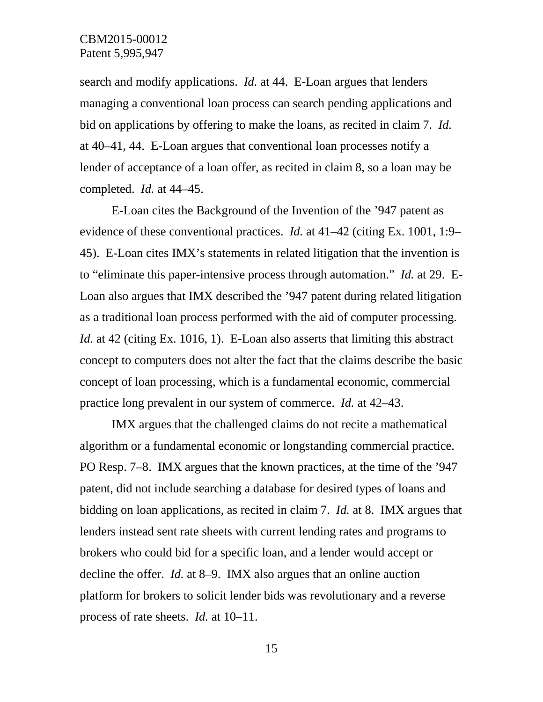search and modify applications. *Id.* at 44. E-Loan argues that lenders managing a conventional loan process can search pending applications and bid on applications by offering to make the loans, as recited in claim 7. *Id.*  at 40–41, 44. E-Loan argues that conventional loan processes notify a lender of acceptance of a loan offer, as recited in claim 8, so a loan may be completed. *Id.* at 44–45.

E-Loan cites the Background of the Invention of the '947 patent as evidence of these conventional practices. *Id.* at 41–42 (citing Ex. 1001, 1:9– 45). E-Loan cites IMX's statements in related litigation that the invention is to "eliminate this paper-intensive process through automation." *Id.* at 29. E-Loan also argues that IMX described the '947 patent during related litigation as a traditional loan process performed with the aid of computer processing. *Id.* at 42 (citing Ex. 1016, 1). E-Loan also asserts that limiting this abstract concept to computers does not alter the fact that the claims describe the basic concept of loan processing, which is a fundamental economic, commercial practice long prevalent in our system of commerce. *Id.* at 42–43.

IMX argues that the challenged claims do not recite a mathematical algorithm or a fundamental economic or longstanding commercial practice. PO Resp. 7–8. IMX argues that the known practices, at the time of the '947 patent, did not include searching a database for desired types of loans and bidding on loan applications, as recited in claim 7. *Id.* at 8. IMX argues that lenders instead sent rate sheets with current lending rates and programs to brokers who could bid for a specific loan, and a lender would accept or decline the offer. *Id.* at 8–9. IMX also argues that an online auction platform for brokers to solicit lender bids was revolutionary and a reverse process of rate sheets. *Id.* at 10–11.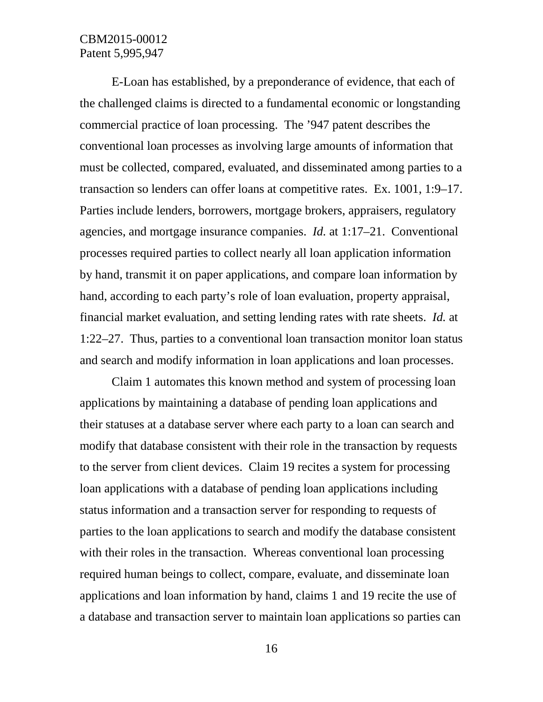E-Loan has established, by a preponderance of evidence, that each of the challenged claims is directed to a fundamental economic or longstanding commercial practice of loan processing. The '947 patent describes the conventional loan processes as involving large amounts of information that must be collected, compared, evaluated, and disseminated among parties to a transaction so lenders can offer loans at competitive rates. Ex. 1001, 1:9–17. Parties include lenders, borrowers, mortgage brokers, appraisers, regulatory agencies, and mortgage insurance companies. *Id.* at 1:17–21. Conventional processes required parties to collect nearly all loan application information by hand, transmit it on paper applications, and compare loan information by hand, according to each party's role of loan evaluation, property appraisal, financial market evaluation, and setting lending rates with rate sheets. *Id.* at 1:22–27. Thus, parties to a conventional loan transaction monitor loan status and search and modify information in loan applications and loan processes.

Claim 1 automates this known method and system of processing loan applications by maintaining a database of pending loan applications and their statuses at a database server where each party to a loan can search and modify that database consistent with their role in the transaction by requests to the server from client devices. Claim 19 recites a system for processing loan applications with a database of pending loan applications including status information and a transaction server for responding to requests of parties to the loan applications to search and modify the database consistent with their roles in the transaction. Whereas conventional loan processing required human beings to collect, compare, evaluate, and disseminate loan applications and loan information by hand, claims 1 and 19 recite the use of a database and transaction server to maintain loan applications so parties can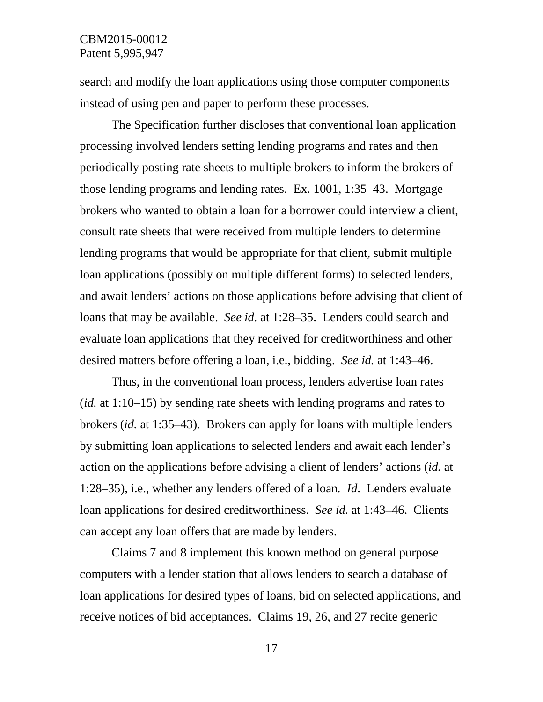search and modify the loan applications using those computer components instead of using pen and paper to perform these processes.

The Specification further discloses that conventional loan application processing involved lenders setting lending programs and rates and then periodically posting rate sheets to multiple brokers to inform the brokers of those lending programs and lending rates. Ex. 1001, 1:35–43. Mortgage brokers who wanted to obtain a loan for a borrower could interview a client, consult rate sheets that were received from multiple lenders to determine lending programs that would be appropriate for that client, submit multiple loan applications (possibly on multiple different forms) to selected lenders, and await lenders' actions on those applications before advising that client of loans that may be available. *See id.* at 1:28–35. Lenders could search and evaluate loan applications that they received for creditworthiness and other desired matters before offering a loan, i.e., bidding. *See id.* at 1:43–46.

Thus, in the conventional loan process, lenders advertise loan rates (*id.* at 1:10–15) by sending rate sheets with lending programs and rates to brokers (*id.* at 1:35–43). Brokers can apply for loans with multiple lenders by submitting loan applications to selected lenders and await each lender's action on the applications before advising a client of lenders' actions (*id.* at 1:28–35), i.e., whether any lenders offered of a loan*. Id*. Lenders evaluate loan applications for desired creditworthiness. *See id.* at 1:43–46. Clients can accept any loan offers that are made by lenders.

Claims 7 and 8 implement this known method on general purpose computers with a lender station that allows lenders to search a database of loan applications for desired types of loans, bid on selected applications, and receive notices of bid acceptances. Claims 19, 26, and 27 recite generic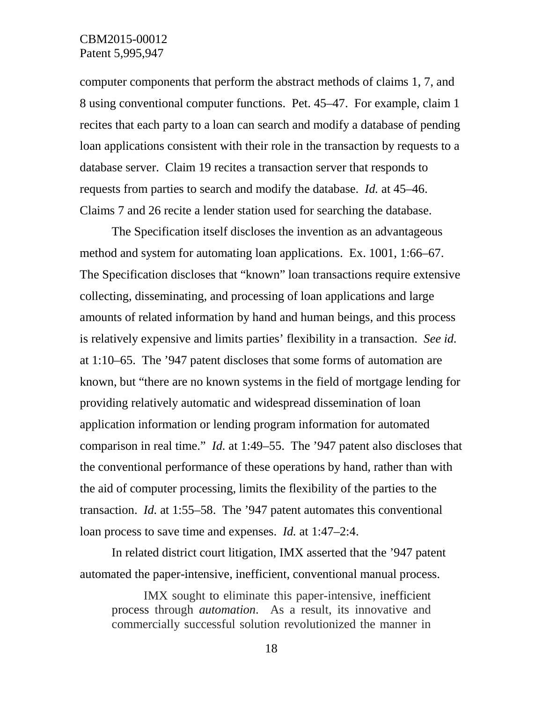computer components that perform the abstract methods of claims 1, 7, and 8 using conventional computer functions. Pet. 45–47. For example, claim 1 recites that each party to a loan can search and modify a database of pending loan applications consistent with their role in the transaction by requests to a database server. Claim 19 recites a transaction server that responds to requests from parties to search and modify the database. *Id.* at 45–46. Claims 7 and 26 recite a lender station used for searching the database.

The Specification itself discloses the invention as an advantageous method and system for automating loan applications. Ex. 1001, 1:66–67. The Specification discloses that "known" loan transactions require extensive collecting, disseminating, and processing of loan applications and large amounts of related information by hand and human beings, and this process is relatively expensive and limits parties' flexibility in a transaction. *See id.*  at 1:10–65. The '947 patent discloses that some forms of automation are known, but "there are no known systems in the field of mortgage lending for providing relatively automatic and widespread dissemination of loan application information or lending program information for automated comparison in real time." *Id.* at 1:49–55. The '947 patent also discloses that the conventional performance of these operations by hand, rather than with the aid of computer processing, limits the flexibility of the parties to the transaction. *Id.* at 1:55–58. The '947 patent automates this conventional loan process to save time and expenses. *Id.* at 1:47–2:4.

In related district court litigation, IMX asserted that the '947 patent automated the paper-intensive, inefficient, conventional manual process.

IMX sought to eliminate this paper-intensive, inefficient process through *automation*. As a result, its innovative and commercially successful solution revolutionized the manner in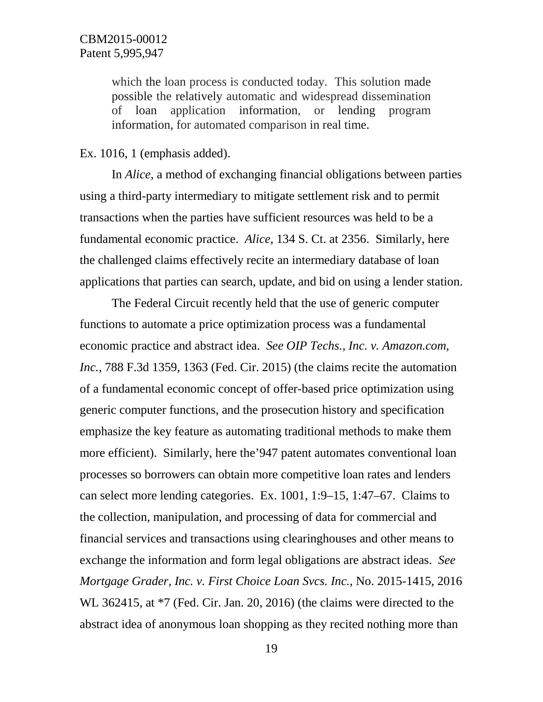which the loan process is conducted today. This solution made possible the relatively automatic and widespread dissemination of loan application information, or lending program information, for automated comparison in real time.

#### Ex. 1016, 1 (emphasis added).

In *Alice*, a method of exchanging financial obligations between parties using a third-party intermediary to mitigate settlement risk and to permit transactions when the parties have sufficient resources was held to be a fundamental economic practice. *Alice*, 134 S. Ct. at 2356. Similarly, here the challenged claims effectively recite an intermediary database of loan applications that parties can search, update, and bid on using a lender station.

The Federal Circuit recently held that the use of generic computer functions to automate a price optimization process was a fundamental economic practice and abstract idea. *See OIP Techs., Inc. v. Amazon.com, Inc.*, 788 F.3d 1359, 1363 (Fed. Cir. 2015) (the claims recite the automation of a fundamental economic concept of offer-based price optimization using generic computer functions, and the prosecution history and specification emphasize the key feature as automating traditional methods to make them more efficient). Similarly, here the'947 patent automates conventional loan processes so borrowers can obtain more competitive loan rates and lenders can select more lending categories. Ex. 1001, 1:9–15, 1:47–67. Claims to the collection, manipulation, and processing of data for commercial and financial services and transactions using clearinghouses and other means to exchange the information and form legal obligations are abstract ideas. *See Mortgage Grader, Inc. v. First Choice Loan Svcs. Inc.*, No. 2015-1415, 2016 WL 362415, at \*7 (Fed. Cir. Jan. 20, 2016) (the claims were directed to the abstract idea of anonymous loan shopping as they recited nothing more than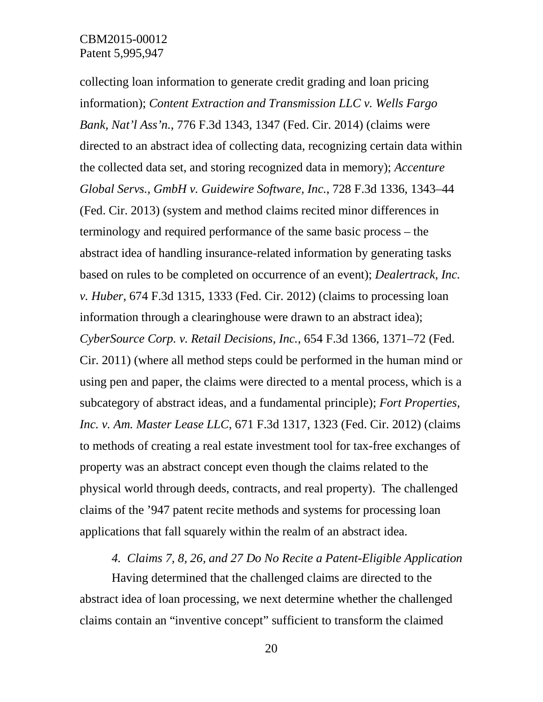collecting loan information to generate credit grading and loan pricing information); *Content Extraction and Transmission LLC v. Wells Fargo Bank, Nat'l Ass'n.*, 776 F.3d 1343, 1347 (Fed. Cir. 2014) (claims were directed to an abstract idea of collecting data, recognizing certain data within the collected data set, and storing recognized data in memory); *[Accenture](https://a.next.westlaw.com/Link/Document/FullText?findType=Y&serNum=2031482245&pubNum=0000506&originatingDoc=I5cabf7ab7cbb11e4a795ac035416da91&refType=RP&fi=co_pp_sp_506_1344&originationContext=document&transitionType=DocumentItem&contextData=(sc.DocLink)#co_pp_sp_506_1344)  [Global Servs., GmbH v. Guidewire Software, Inc.](https://a.next.westlaw.com/Link/Document/FullText?findType=Y&serNum=2031482245&pubNum=0000506&originatingDoc=I5cabf7ab7cbb11e4a795ac035416da91&refType=RP&fi=co_pp_sp_506_1344&originationContext=document&transitionType=DocumentItem&contextData=(sc.DocLink)#co_pp_sp_506_1344)*, 728 F.3d 1336, 1343–44 (Fed. Cir. [2013\)](https://a.next.westlaw.com/Link/Document/FullText?findType=Y&serNum=2031482245&pubNum=0000506&originatingDoc=I5cabf7ab7cbb11e4a795ac035416da91&refType=RP&fi=co_pp_sp_506_1344&originationContext=document&transitionType=DocumentItem&contextData=(sc.DocLink)#co_pp_sp_506_1344) (system and method claims recited minor differences in terminology and required performance of the same basic process – the abstract idea of handling insurance-related information by generating tasks based on rules to be completed on occurrence of an event); *Dealertrack, Inc. v. Huber*, 674 F.3d 1315, 1333 (Fed. Cir. 2012) (claims to processing loan information through a clearinghouse were drawn to an abstract idea); *CyberSource Corp. v. Retail Decisions, Inc.*, 654 F.3d 1366, 1371–72 (Fed. Cir. 2011) (where all method steps could be performed in the human mind or using pen and paper, the claims were directed to a mental process, which is a subcategory of abstract ideas, and a fundamental principle); *Fort Properties, Inc. v. Am. Master Lease LLC*, 671 F.3d 1317, 1323 (Fed. Cir. 2012) (claims to methods of creating a real estate investment tool for tax-free exchanges of property was an abstract concept even though the claims related to the physical world through deeds, contracts, and real property). The challenged claims of the '947 patent recite methods and systems for processing loan applications that fall squarely within the realm of an abstract idea.

#### *4. Claims 7, 8, 26, and 27 Do No Recite a Patent-Eligible Application*

Having determined that the challenged claims are directed to the abstract idea of loan processing, we next determine whether the challenged claims contain an "inventive concept" sufficient to transform the claimed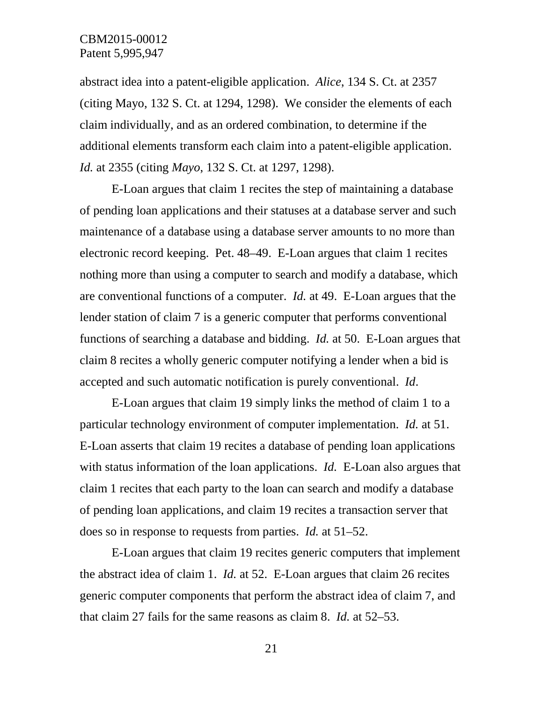abstract idea into a patent-eligible application. *Alice*, 134 S. Ct. at 2357 (citing Mayo, 132 S. Ct. at 1294, 1298). We consider the elements of each claim individually, and as an ordered combination, to determine if the additional elements transform each claim into a patent-eligible application. *Id.* at 2355 (citing *Mayo*, 132 S. Ct. at 1297, 1298).

E-Loan argues that claim 1 recites the step of maintaining a database of pending loan applications and their statuses at a database server and such maintenance of a database using a database server amounts to no more than electronic record keeping. Pet. 48–49. E-Loan argues that claim 1 recites nothing more than using a computer to search and modify a database, which are conventional functions of a computer. *Id.* at 49. E-Loan argues that the lender station of claim 7 is a generic computer that performs conventional functions of searching a database and bidding. *Id.* at 50. E-Loan argues that claim 8 recites a wholly generic computer notifying a lender when a bid is accepted and such automatic notification is purely conventional. *Id*.

E-Loan argues that claim 19 simply links the method of claim 1 to a particular technology environment of computer implementation. *Id.* at 51. E-Loan asserts that claim 19 recites a database of pending loan applications with status information of the loan applications. *Id.* E-Loan also argues that claim 1 recites that each party to the loan can search and modify a database of pending loan applications, and claim 19 recites a transaction server that does so in response to requests from parties. *Id.* at 51–52.

E-Loan argues that claim 19 recites generic computers that implement the abstract idea of claim 1. *Id.* at 52. E-Loan argues that claim 26 recites generic computer components that perform the abstract idea of claim 7, and that claim 27 fails for the same reasons as claim 8. *Id.* at 52–53.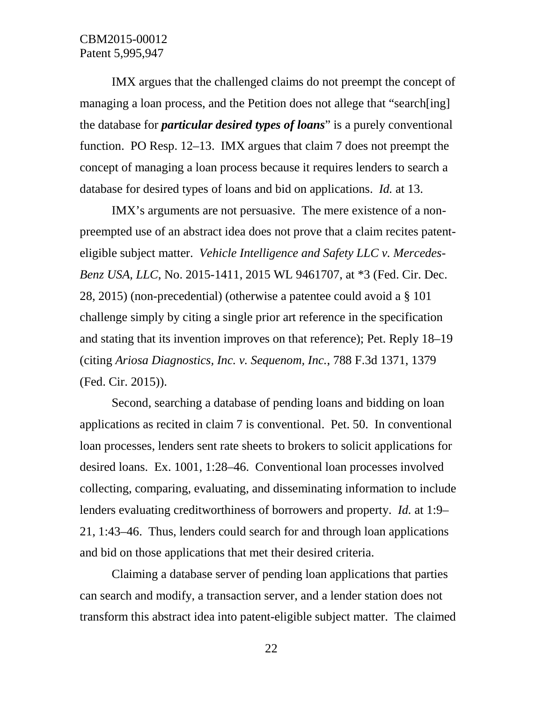IMX argues that the challenged claims do not preempt the concept of managing a loan process, and the Petition does not allege that "search[ing] the database for *particular desired types of loans*" is a purely conventional function. PO Resp. 12–13. IMX argues that claim 7 does not preempt the concept of managing a loan process because it requires lenders to search a database for desired types of loans and bid on applications. *Id.* at 13.

IMX's arguments are not persuasive. The mere existence of a nonpreempted use of an abstract idea does not prove that a claim recites patenteligible subject matter. *Vehicle Intelligence and Safety LLC v. Mercedes-Benz USA, LLC*, No. 2015-1411, 2015 WL 9461707, at \*3 (Fed. Cir. Dec. 28, 2015) (non-precedential) (otherwise a patentee could avoid a § 101 challenge simply by citing a single prior art reference in the specification and stating that its invention improves on that reference); Pet. Reply 18–19 (citing *Ariosa Diagnostics, Inc. v. Sequenom, Inc.*, 788 F.3d 1371, 1379 (Fed. Cir. 2015)).

Second, searching a database of pending loans and bidding on loan applications as recited in claim 7 is conventional. Pet. 50. In conventional loan processes, lenders sent rate sheets to brokers to solicit applications for desired loans. Ex. 1001, 1:28–46. Conventional loan processes involved collecting, comparing, evaluating, and disseminating information to include lenders evaluating creditworthiness of borrowers and property. *Id.* at 1:9– 21, 1:43–46. Thus, lenders could search for and through loan applications and bid on those applications that met their desired criteria.

Claiming a database server of pending loan applications that parties can search and modify, a transaction server, and a lender station does not transform this abstract idea into patent-eligible subject matter. The claimed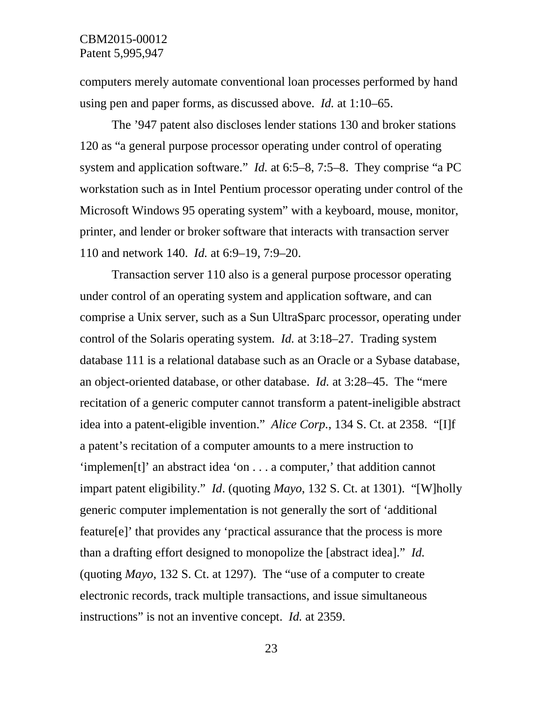computers merely automate conventional loan processes performed by hand using pen and paper forms, as discussed above. *Id.* at 1:10–65.

The '947 patent also discloses lender stations 130 and broker stations 120 as "a general purpose processor operating under control of operating system and application software." *Id.* at 6:5–8, 7:5–8. They comprise "a PC workstation such as in Intel Pentium processor operating under control of the Microsoft Windows 95 operating system" with a keyboard, mouse, monitor, printer, and lender or broker software that interacts with transaction server 110 and network 140. *Id.* at 6:9–19, 7:9–20.

Transaction server 110 also is a general purpose processor operating under control of an operating system and application software, and can comprise a Unix server, such as a Sun UltraSparc processor, operating under control of the Solaris operating system. *Id.* at 3:18–27. Trading system database 111 is a relational database such as an Oracle or a Sybase database, an object-oriented database, or other database. *Id.* at 3:28–45. The "mere recitation of a generic computer cannot transform a patent-ineligible abstract idea into a patent-eligible invention." *Alice Corp.*, 134 S. Ct. at 2358. "[I]f a patent's recitation of a computer amounts to a mere instruction to 'implemen[t]' an abstract idea 'on . . . a computer,' that addition cannot impart patent eligibility." *Id*. (quoting *Mayo*, 132 S. Ct. at 1301). "[W]holly generic computer implementation is not generally the sort of 'additional feature[e]' that provides any 'practical assurance that the process is more than a drafting effort designed to monopolize the [abstract idea]." *Id.*  (quoting *Mayo*, 132 S. Ct. at 1297). The "use of a computer to create electronic records, track multiple transactions, and issue simultaneous instructions" is not an inventive concept. *Id.* at 2359.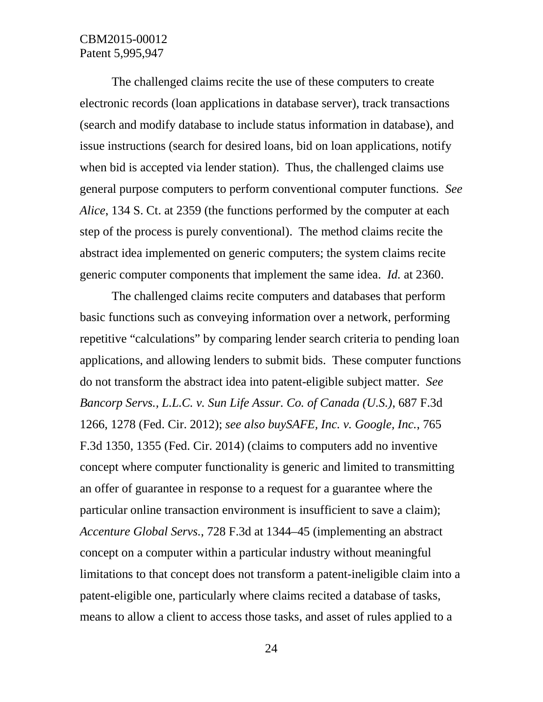The challenged claims recite the use of these computers to create electronic records (loan applications in database server), track transactions (search and modify database to include status information in database), and issue instructions (search for desired loans, bid on loan applications, notify when bid is accepted via lender station). Thus, the challenged claims use general purpose computers to perform conventional computer functions. *See Alice*, 134 S. Ct. at 2359 (the functions performed by the computer at each step of the process is purely conventional). The method claims recite the abstract idea implemented on generic computers; the system claims recite generic computer components that implement the same idea. *Id.* at 2360.

The challenged claims recite computers and databases that perform basic functions such as conveying information over a network, performing repetitive "calculations" by comparing lender search criteria to pending loan applications, and allowing lenders to submit bids. These computer functions do not transform the abstract idea into patent-eligible subject matter. *See [Bancorp Servs., L.L.C. v. Sun Life Assur. Co. of Canada \(U.S.\)](https://a.next.westlaw.com/Link/Document/FullText?findType=Y&serNum=2028287013&pubNum=0000506&originatingDoc=I5cabf7ab7cbb11e4a795ac035416da91&refType=RP&fi=co_pp_sp_506_1278&originationContext=document&transitionType=DocumentItem&contextData=(sc.DocLink)#co_pp_sp_506_1278)*, 687 F.3d [1266, 1278 \(Fed.](https://a.next.westlaw.com/Link/Document/FullText?findType=Y&serNum=2028287013&pubNum=0000506&originatingDoc=I5cabf7ab7cbb11e4a795ac035416da91&refType=RP&fi=co_pp_sp_506_1278&originationContext=document&transitionType=DocumentItem&contextData=(sc.DocLink)#co_pp_sp_506_1278) Cir. 2012); *see also [buySAFE, Inc. v. Google, Inc.](https://a.next.westlaw.com/Link/Document/FullText?findType=Y&serNum=2034265558&pubNum=0000506&originatingDoc=I5cabf7ab7cbb11e4a795ac035416da91&refType=RP&fi=co_pp_sp_506_1355&originationContext=document&transitionType=DocumentItem&contextData=(sc.DocLink)#co_pp_sp_506_1355)*, 765 [F.3d 1350, 1355 \(Fed.](https://a.next.westlaw.com/Link/Document/FullText?findType=Y&serNum=2034265558&pubNum=0000506&originatingDoc=I5cabf7ab7cbb11e4a795ac035416da91&refType=RP&fi=co_pp_sp_506_1355&originationContext=document&transitionType=DocumentItem&contextData=(sc.DocLink)#co_pp_sp_506_1355) Cir. 2014) (claims to computers add no inventive concept where computer functionality is generic and limited to transmitting an offer of guarantee in response to a request for a guarantee where the particular online transaction environment is insufficient to save a claim); *[Accenture Global Servs.](https://a.next.westlaw.com/Link/Document/FullText?findType=Y&serNum=2031482245&pubNum=0000506&originatingDoc=I5cabf7ab7cbb11e4a795ac035416da91&refType=RP&fi=co_pp_sp_506_1344&originationContext=document&transitionType=DocumentItem&contextData=(sc.DocLink)#co_pp_sp_506_1344)*, 728 F.3d at 1344–45 (implementing an abstract concept on a computer within a particular industry without meaningful limitations to that concept does not transform a patent-ineligible claim into a patent-eligible one, particularly where claims recited a database of tasks, means to allow a client to access those tasks, and asset of rules applied to a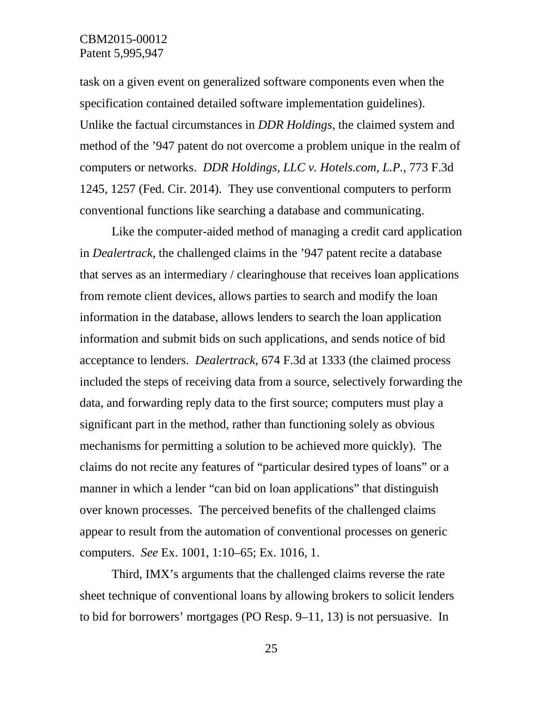task on a given event on generalized software components even when the specification contained detailed software implementation guidelines). Unlike the factual circumstances in *DDR Holdings*, the claimed system and method of the '947 patent do not overcome a problem unique in the realm of computers or networks. *DDR Holdings, LLC v. Hotels.com, L.P.*, 773 F.3d 1245, 1257 (Fed. Cir. 2014). They use conventional computers to perform conventional functions like searching a database and communicating.

Like the computer-aided method of managing a credit card application in *Dealertrack*, the challenged claims in the '947 patent recite a database that serves as an intermediary / clearinghouse that receives loan applications from remote client devices, allows parties to search and modify the loan information in the database, allows lenders to search the loan application information and submit bids on such applications, and sends notice of bid acceptance to lenders. *Dealertrack*, 674 F.3d at 1333 (the claimed process included the steps of receiving data from a source, selectively forwarding the data, and forwarding reply data to the first source; computers must play a significant part in the method, rather than functioning solely as obvious mechanisms for permitting a solution to be achieved more quickly). The claims do not recite any features of "particular desired types of loans" or a manner in which a lender "can bid on loan applications" that distinguish over known processes. The perceived benefits of the challenged claims appear to result from the automation of conventional processes on generic computers. *See* Ex. 1001, 1:10–65; Ex. 1016, 1.

Third, IMX's arguments that the challenged claims reverse the rate sheet technique of conventional loans by allowing brokers to solicit lenders to bid for borrowers' mortgages (PO Resp. 9–11, 13) is not persuasive. In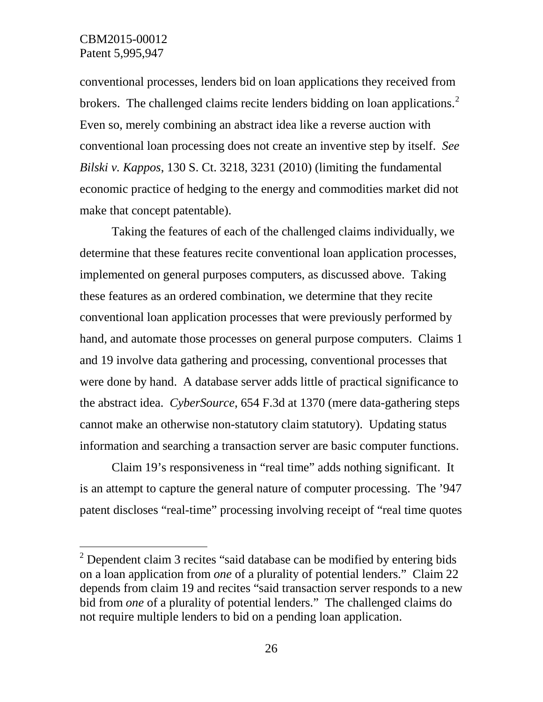conventional processes, lenders bid on loan applications they received from brokers. The challenged claims recite lenders bidding on loan applications.<sup>[2](#page-25-0)</sup> Even so, merely combining an abstract idea like a reverse auction with conventional loan processing does not create an inventive step by itself. *See Bilski v. Kappos*, 130 S. Ct. 3218, 3231 (2010) (limiting the fundamental economic practice of hedging to the energy and commodities market did not make that concept patentable).

Taking the features of each of the challenged claims individually, we determine that these features recite conventional loan application processes, implemented on general purposes computers, as discussed above. Taking these features as an ordered combination, we determine that they recite conventional loan application processes that were previously performed by hand, and automate those processes on general purpose computers. Claims 1 and 19 involve data gathering and processing, conventional processes that were done by hand. A database server adds little of practical significance to the abstract idea. *CyberSource*, 654 F.3d at 1370 (mere data-gathering steps cannot make an otherwise non-statutory claim statutory). Updating status information and searching a transaction server are basic computer functions.

Claim 19's responsiveness in "real time" adds nothing significant. It is an attempt to capture the general nature of computer processing. The '947 patent discloses "real-time" processing involving receipt of "real time quotes

<span id="page-25-0"></span> $2$  Dependent claim 3 recites "said database can be modified by entering bids on a loan application from *one* of a plurality of potential lenders." Claim 22 depends from claim 19 and recites "said transaction server responds to a new bid from *one* of a plurality of potential lenders." The challenged claims do not require multiple lenders to bid on a pending loan application.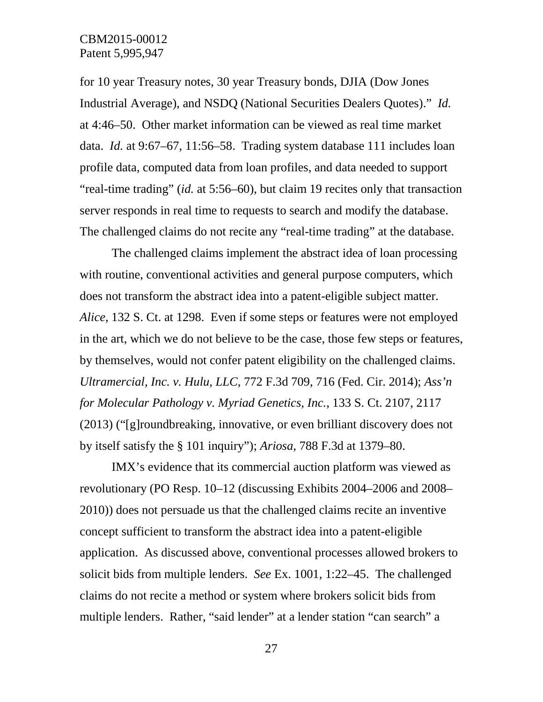for 10 year Treasury notes, 30 year Treasury bonds, DJIA (Dow Jones Industrial Average), and NSDQ (National Securities Dealers Quotes)." *Id.*  at 4:46–50. Other market information can be viewed as real time market data. *Id.* at 9:67–67, 11:56–58. Trading system database 111 includes loan profile data, computed data from loan profiles, and data needed to support "real-time trading" (*id.* at 5:56–60), but claim 19 recites only that transaction server responds in real time to requests to search and modify the database. The challenged claims do not recite any "real-time trading" at the database.

The challenged claims implement the abstract idea of loan processing with routine, conventional activities and general purpose computers, which does not transform the abstract idea into a patent-eligible subject matter. *Alice*, 132 S. Ct. at 1298. Even if some steps or features were not employed in the art, which we do not believe to be the case, those few steps or features, by themselves, would not confer patent eligibility on the challenged claims. *Ultramercial, Inc. v. Hulu, LLC*, 772 F.3d 709, 716 (Fed. Cir. 2014); *Ass'n for Molecular Pathology v. Myriad Genetics, Inc.*, 133 S. Ct. 2107, 2117 (2013) ("[g]roundbreaking, innovative, or even brilliant discovery does not by itself satisfy the § 101 inquiry"); *Ariosa*, 788 F.3d at 1379–80.

IMX's evidence that its commercial auction platform was viewed as revolutionary (PO Resp. 10–12 (discussing Exhibits 2004–2006 and 2008– 2010)) does not persuade us that the challenged claims recite an inventive concept sufficient to transform the abstract idea into a patent-eligible application. As discussed above, conventional processes allowed brokers to solicit bids from multiple lenders. *See* Ex. 1001, 1:22–45. The challenged claims do not recite a method or system where brokers solicit bids from multiple lenders. Rather, "said lender" at a lender station "can search" a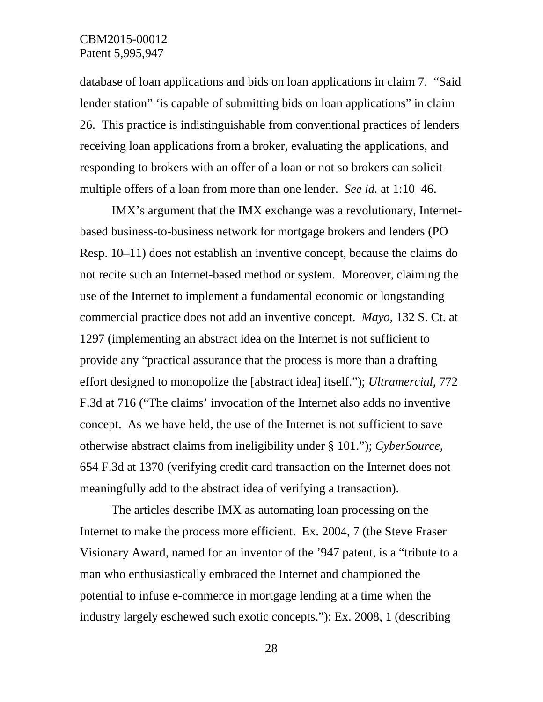database of loan applications and bids on loan applications in claim 7. "Said lender station" 'is capable of submitting bids on loan applications" in claim 26. This practice is indistinguishable from conventional practices of lenders receiving loan applications from a broker, evaluating the applications, and responding to brokers with an offer of a loan or not so brokers can solicit multiple offers of a loan from more than one lender. *See id.* at 1:10–46.

IMX's argument that the IMX exchange was a revolutionary, Internetbased business-to-business network for mortgage brokers and lenders (PO Resp. 10–11) does not establish an inventive concept, because the claims do not recite such an Internet-based method or system. Moreover, claiming the use of the Internet to implement a fundamental economic or longstanding commercial practice does not add an inventive concept. *Mayo*, 132 S. Ct. at 1297 (implementing an abstract idea on the Internet is not sufficient to provide any "practical assurance that the process is more than a drafting effort designed to monopolize the [abstract idea] itself."); *Ultramercial*, 772 F.3d at 716 ("The claims' invocation of the Internet also adds no inventive concept. As we have held, the use of the Internet is not sufficient to save otherwise abstract claims from ineligibility under § 101."); *CyberSource*, 654 F.3d at 1370 (verifying credit card transaction on the Internet does not meaningfully add to the abstract idea of verifying a transaction).

The articles describe IMX as automating loan processing on the Internet to make the process more efficient. Ex. 2004, 7 (the Steve Fraser Visionary Award, named for an inventor of the '947 patent, is a "tribute to a man who enthusiastically embraced the Internet and championed the potential to infuse e-commerce in mortgage lending at a time when the industry largely eschewed such exotic concepts."); Ex. 2008, 1 (describing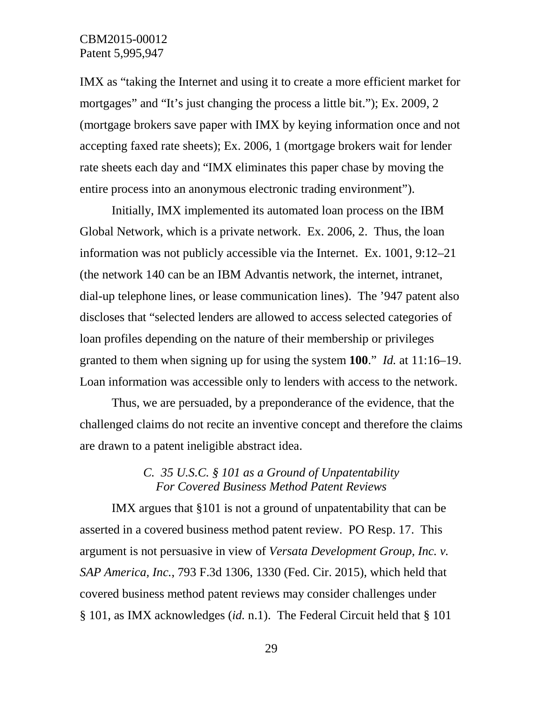IMX as "taking the Internet and using it to create a more efficient market for mortgages" and "It's just changing the process a little bit."); Ex. 2009, 2 (mortgage brokers save paper with IMX by keying information once and not accepting faxed rate sheets); Ex. 2006, 1 (mortgage brokers wait for lender rate sheets each day and "IMX eliminates this paper chase by moving the entire process into an anonymous electronic trading environment").

Initially, IMX implemented its automated loan process on the IBM Global Network, which is a private network. Ex. 2006, 2. Thus, the loan information was not publicly accessible via the Internet. Ex. 1001, 9:12–21 (the network 140 can be an IBM Advantis network, the internet, intranet, dial-up telephone lines, or lease communication lines). The '947 patent also discloses that "selected lenders are allowed to access selected categories of loan profiles depending on the nature of their membership or privileges granted to them when signing up for using the system **100**." *Id.* at 11:16–19. Loan information was accessible only to lenders with access to the network.

Thus, we are persuaded, by a preponderance of the evidence, that the challenged claims do not recite an inventive concept and therefore the claims are drawn to a patent ineligible abstract idea.

# *C. 35 U.S.C. § 101 as a Ground of Unpatentability For Covered Business Method Patent Reviews*

IMX argues that §101 is not a ground of unpatentability that can be asserted in a covered business method patent review. PO Resp. 17. This argument is not persuasive in view of *Versata Development Group, Inc. v. SAP America, Inc.*, 793 F.3d 1306, 1330 (Fed. Cir. 2015), which held that covered business method patent reviews may consider challenges under § 101, as IMX acknowledges (*id.* n.1). The Federal Circuit held that § 101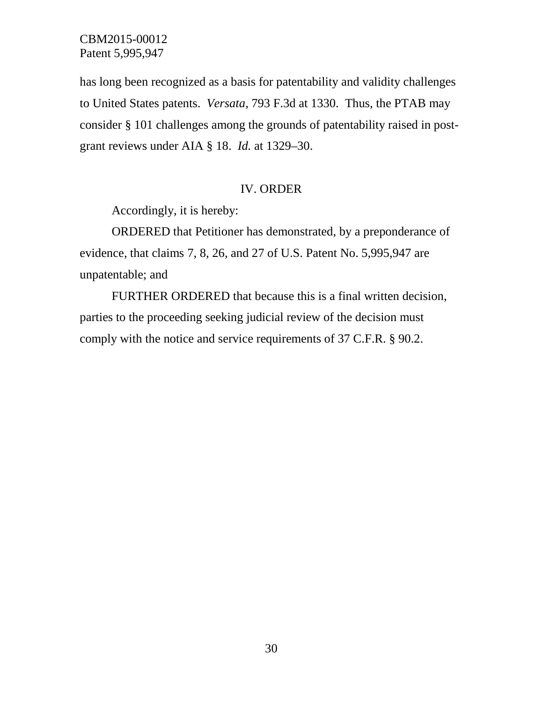has long been recognized as a basis for patentability and validity challenges to United States patents. *Versata*, 793 F.3d at 1330. Thus, the PTAB may consider § 101 challenges among the grounds of patentability raised in postgrant reviews under AIA § 18. *Id.* at 1329–30.

#### IV. ORDER

Accordingly, it is hereby:

ORDERED that Petitioner has demonstrated, by a preponderance of evidence, that claims 7, 8, 26, and 27 of U.S. Patent No. 5,995,947 are unpatentable; and

FURTHER ORDERED that because this is a final written decision, parties to the proceeding seeking judicial review of the decision must comply with the notice and service requirements of 37 C.F.R. § 90.2.